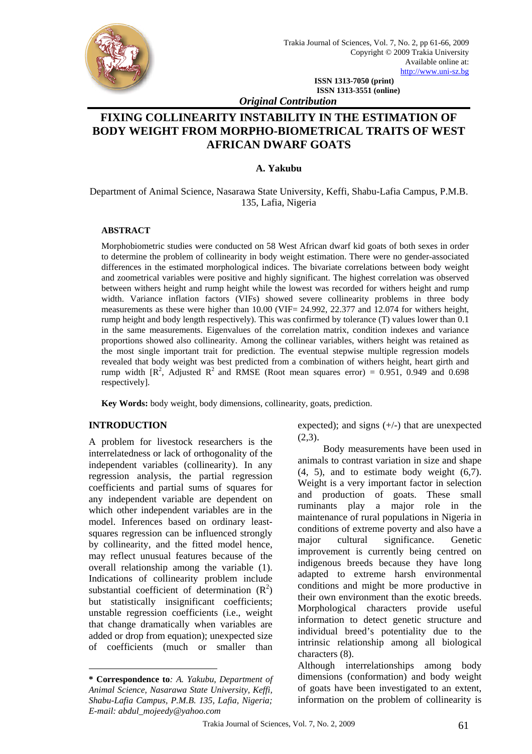

**ISSN 1313-7050 (print) ISSN 1313-3551 (online)** 

*Original Contribution* 

# **FIXING COLLINEARITY INSTABILITY IN THE ESTIMATION OF BODY WEIGHT FROM MORPHO-BIOMETRICAL TRAITS OF WEST AFRICAN DWARF GOATS**

#### **A. Yakubu**

Department of Animal Science, Nasarawa State University, Keffi, Shabu-Lafia Campus, P.M.B. 135, Lafia, Nigeria

#### **ABSTRACT**

Morphobiometric studies were conducted on 58 West African dwarf kid goats of both sexes in order to determine the problem of collinearity in body weight estimation. There were no gender-associated differences in the estimated morphological indices. The bivariate correlations between body weight and zoometrical variables were positive and highly significant. The highest correlation was observed between withers height and rump height while the lowest was recorded for withers height and rump width. Variance inflation factors (VIFs) showed severe collinearity problems in three body measurements as these were higher than 10.00 (VIF= 24.992, 22.377 and 12.074 for withers height, rump height and body length respectively). This was confirmed by tolerance (T) values lower than 0.1 in the same measurements. Eigenvalues of the correlation matrix, condition indexes and variance proportions showed also collinearity. Among the collinear variables, withers height was retained as the most single important trait for prediction. The eventual stepwise multiple regression models revealed that body weight was best predicted from a combination of withers height, heart girth and rump width  $[R^2]$ , Adjusted  $R^2$  and RMSE (Root mean squares error) = 0.951, 0.949 and 0.698 respectively].

**Key Words:** body weight, body dimensions, collinearity, goats, prediction.

### **INTRODUCTION**

 $\overline{a}$ 

A problem for livestock researchers is the interrelatedness or lack of orthogonality of the independent variables (collinearity). In any regression analysis, the partial regression coefficients and partial sums of squares for any independent variable are dependent on which other independent variables are in the model. Inferences based on ordinary leastsquares regression can be influenced strongly by collinearity, and the fitted model hence, may reflect unusual features because of the overall relationship among the variable (1). Indications of collinearity problem include substantial coefficient of determination  $(R^2)$ but statistically insignificant coefficients; unstable regression coefficients (i.e., weight that change dramatically when variables are added or drop from equation); unexpected size of coefficients (much or smaller than expected); and signs (+/-) that are unexpected  $(2.3)$ .

Body measurements have been used in animals to contrast variation in size and shape  $(4, 5)$ , and to estimate body weight  $(6,7)$ . Weight is a very important factor in selection and production of goats. These small ruminants play a major role in the maintenance of rural populations in Nigeria in conditions of extreme poverty and also have a major cultural significance. Genetic improvement is currently being centred on indigenous breeds because they have long adapted to extreme harsh environmental conditions and might be more productive in their own environment than the exotic breeds. Morphological characters provide useful information to detect genetic structure and individual breed's potentiality due to the intrinsic relationship among all biological characters (8).

Although interrelationships among body dimensions (conformation) and body weight of goats have been investigated to an extent, information on the problem of collinearity is

**<sup>\*</sup> Correspondence to***: A. Yakubu, Department of Animal Science, Nasarawa State University, Keffi, Shabu-Lafia Campus, P.M.B. 135, Lafia, Nigeria; E-mail: abdul\_mojeedy@yahoo.com*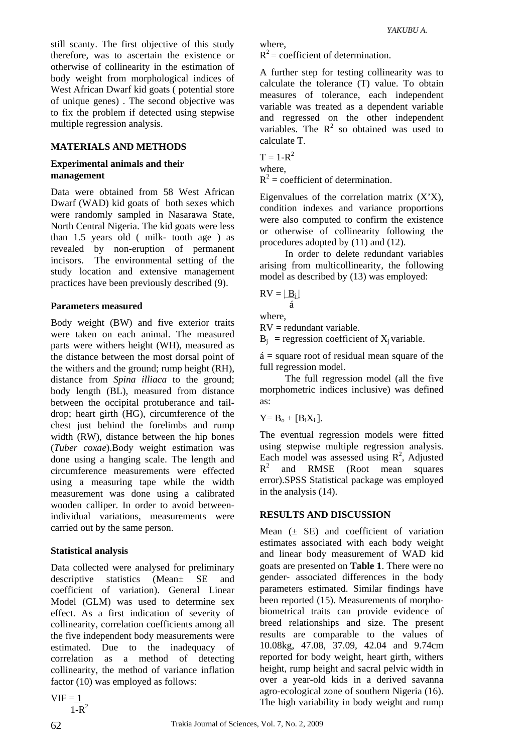still scanty. The first objective of this study therefore, was to ascertain the existence or otherwise of collinearity in the estimation of body weight from morphological indices of West African Dwarf kid goats ( potential store of unique genes) . The second objective was to fix the problem if detected using stepwise multiple regression analysis.

#### **MATERIALS AND METHODS**

#### **Experimental animals and their management**

Data were obtained from 58 West African Dwarf (WAD) kid goats of both sexes which were randomly sampled in Nasarawa State, North Central Nigeria. The kid goats were less than 1.5 years old ( milk- tooth age ) as revealed by non-eruption of permanent incisors. The environmental setting of the study location and extensive management practices have been previously described (9).

#### **Parameters measured**

Body weight (BW) and five exterior traits were taken on each animal. The measured parts were withers height (WH), measured as the distance between the most dorsal point of the withers and the ground; rump height (RH), distance from *Spina illiaca* to the ground; body length (BL), measured from distance between the occipital protuberance and taildrop; heart girth (HG), circumference of the chest just behind the forelimbs and rump width (RW), distance between the hip bones (*Tuber coxae*).Body weight estimation was done using a hanging scale. The length and circumference measurements were effected using a measuring tape while the width measurement was done using a calibrated wooden calliper. In order to avoid betweenindividual variations, measurements were carried out by the same person.

### **Statistical analysis**

Data collected were analysed for preliminary descriptive statistics (Mean± SE and coefficient of variation). General Linear Model (GLM) was used to determine sex effect. As a first indication of severity of collinearity, correlation coefficients among all the five independent body measurements were estimated. Due to the inadequacy of correlation as a method of detecting collinearity, the method of variance inflation factor (10) was employed as follows:

 $VIF = 1$  $1-R^2$   $R^2$  = coefficient of determination.

A further step for testing collinearity was to calculate the tolerance (T) value. To obtain measures of tolerance, each independent variable was treated as a dependent variable and regressed on the other independent variables. The  $R^2$  so obtained was used to calculate T.

$$
T = 1-R2
$$
  
where,  

$$
R2 = coefficient of d
$$

Eigenvalues of the correlation matrix  $(X'X)$ , condition indexes and variance proportions were also computed to confirm the existence or otherwise of collinearity following the procedures adopted by (11) and (12).

In order to delete redundant variables arising from multicollinearity, the following model as described by (13) was employed:

$$
RV = \lfloor \underline{B_i} \rfloor
$$

where,

á

RV = redundant variable.

 $B_i$  = regression coefficient of  $X_i$  variable.

 $\acute{a}$  = square root of residual mean square of the full regression model.

The full regression model (all the five morphometric indices inclusive) was defined as:

 $Y = B_0 + [B_i X_i].$ 

The eventual regression models were fitted using stepwise multiple regression analysis. Each model was assessed using  $R^2$ , Adjusted  $R^2$  and RMSE (Root mean squares error).SPSS Statistical package was employed in the analysis (14).

#### **RESULTS AND DISCUSSION**

Mean  $(\pm$  SE) and coefficient of variation estimates associated with each body weight and linear body measurement of WAD kid goats are presented on **Table 1**. There were no gender- associated differences in the body parameters estimated. Similar findings have been reported (15). Measurements of morphobiometrical traits can provide evidence of breed relationships and size. The present results are comparable to the values of 10.08kg, 47.08, 37.09, 42.04 and 9.74cm reported for body weight, heart girth, withers height, rump height and sacral pelvic width in over a year-old kids in a derived savanna agro-ecological zone of southern Nigeria (16). The high variability in body weight and rump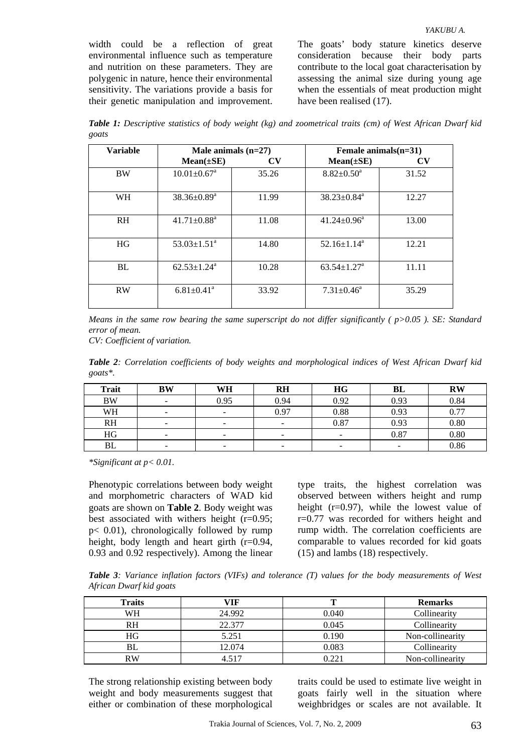polygenic in nature, hence their environmental sensitivity. The variations provide a basis for their genetic manipulation and improvement. The goats' body stature kinetics deserve consideration because their body parts contribute to the local goat characterisation by assessing the animal size during young age when the essentials of meat production might have been realised (17).

*YAKUBU A.* 

*Table 1: Descriptive statistics of body weight (kg) and zoometrical traits (cm) of West African Dwarf kid goats* 

| <b>Variable</b> | Male animals $(n=27)$         |                        | Female animals $(n=31)$       |       |  |  |
|-----------------|-------------------------------|------------------------|-------------------------------|-------|--|--|
|                 | $Mean(\pm SE)$                | $\mathbf{C}\mathbf{V}$ | $Mean(\pm SE)$                | CV    |  |  |
| <b>BW</b>       | $10.01 \pm 0.67$ <sup>a</sup> | 35.26                  | $8.82 \pm 0.50^a$             | 31.52 |  |  |
| WH              | $38.36 \pm 0.89^a$            | 11.99                  | $38.23 \pm 0.84$ <sup>a</sup> | 12.27 |  |  |
| <b>RH</b>       | $41.71 \pm 0.88$ <sup>a</sup> | 11.08                  | $41.24 \pm 0.96^{\text{a}}$   | 13.00 |  |  |
| HG              | $53.03 \pm 1.51^{\circ}$      | 14.80                  | $52.16 \pm 1.14^{\text{a}}$   | 12.21 |  |  |
| BL              | $62.53 \pm 1.24$ <sup>a</sup> | 10.28                  | $63.54 \pm 1.27$ <sup>a</sup> | 11.11 |  |  |
| <b>RW</b>       | $6.81 \pm 0.41$ <sup>a</sup>  | 33.92                  | $7.31 \pm 0.46^{\text{a}}$    | 35.29 |  |  |

*Means in the same row bearing the same superscript do not differ significantly ( p>0.05 ). SE: Standard error of mean.* 

*CV: Coefficient of variation.* 

*Table 2: Correlation coefficients of body weights and morphological indices of West African Dwarf kid goats\*.* 

| Trait     | BW                       | WH   | <b>RH</b>                | <b>HG</b>                | BL                       | <b>RW</b> |
|-----------|--------------------------|------|--------------------------|--------------------------|--------------------------|-----------|
| <b>BW</b> | -                        | 0.95 | 0.94                     | 0.92                     | 0.93                     | 0.84      |
| WH        | $\overline{\phantom{0}}$ |      | 0.97                     | 0.88                     | 0.93                     | 0.77      |
| <b>RH</b> | $\overline{\phantom{0}}$ |      | -                        | 0.87                     | 0.93                     | 0.80      |
| HG        | -                        |      | $\overline{\phantom{0}}$ | $\overline{\phantom{a}}$ | 0.87                     | 0.80      |
| <b>BL</b> | -                        |      | $\overline{\phantom{a}}$ | $\overline{\phantom{0}}$ | $\overline{\phantom{a}}$ | 0.86      |

*\*Significant at p< 0.01.* 

Phenotypic correlations between body weight and morphometric characters of WAD kid goats are shown on **Table 2**. Body weight was best associated with withers height (r=0.95; p< 0.01), chronologically followed by rump height, body length and heart girth (r=0.94, 0.93 and 0.92 respectively). Among the linear

type traits, the highest correlation was observed between withers height and rump height  $(r=0.97)$ , while the lowest value of r=0.77 was recorded for withers height and rump width. The correlation coefficients are comparable to values recorded for kid goats (15) and lambs (18) respectively.

*Table 3: Variance inflation factors (VIFs) and tolerance (T) values for the body measurements of West African Dwarf kid goats* 

| <b>Traits</b> | VIF    |       | <b>Remarks</b>   |
|---------------|--------|-------|------------------|
| WH            | 24.992 | 0.040 | Collinearity     |
| RH            | 22.377 | 0.045 | Collinearity     |
| НG            | 5.251  | 0.190 | Non-collinearity |
| BL            | 12.074 | 0.083 | Collinearity     |
| RW            | 4 517  | 0.221 | Non-collinearity |

The strong relationship existing between body weight and body measurements suggest that either or combination of these morphological

traits could be used to estimate live weight in goats fairly well in the situation where weighbridges or scales are not available. It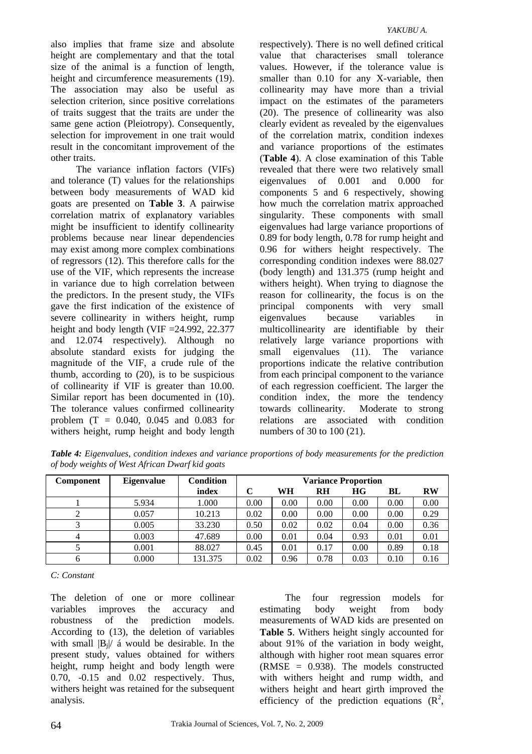also implies that frame size and absolute height are complementary and that the total size of the animal is a function of length, height and circumference measurements (19). The association may also be useful as selection criterion, since positive correlations of traits suggest that the traits are under the same gene action (Pleiotropy). Consequently, selection for improvement in one trait would result in the concomitant improvement of the other traits.

The variance inflation factors (VIFs) and tolerance (T) values for the relationships between body measurements of WAD kid goats are presented on **Table 3**. A pairwise correlation matrix of explanatory variables might be insufficient to identify collinearity problems because near linear dependencies may exist among more complex combinations of regressors (12). This therefore calls for the use of the VIF, which represents the increase in variance due to high correlation between the predictors. In the present study, the VIFs gave the first indication of the existence of severe collinearity in withers height, rump height and body length (VIF = 24.992, 22.377) and 12.074 respectively). Although no absolute standard exists for judging the magnitude of the VIF, a crude rule of the thumb, according to (20), is to be suspicious of collinearity if VIF is greater than 10.00. Similar report has been documented in (10). The tolerance values confirmed collinearity problem (T = 0.040, 0.045 and 0.083 for withers height, rump height and body length

respectively). There is no well defined critical value that characterises small tolerance values. However, if the tolerance value is smaller than 0.10 for any X-variable, then collinearity may have more than a trivial impact on the estimates of the parameters (20). The presence of collinearity was also clearly evident as revealed by the eigenvalues of the correlation matrix, condition indexes and variance proportions of the estimates (**Table 4**). A close examination of this Table revealed that there were two relatively small eigenvalues of 0.001 and 0.000 for components 5 and 6 respectively, showing how much the correlation matrix approached singularity. These components with small eigenvalues had large variance proportions of 0.89 for body length, 0.78 for rump height and 0.96 for withers height respectively. The corresponding condition indexes were 88.027 (body length) and 131.375 (rump height and withers height). When trying to diagnose the reason for collinearity, the focus is on the principal components with very small eigenvalues because variables in multicollinearity are identifiable by their relatively large variance proportions with small eigenvalues (11). The variance proportions indicate the relative contribution from each principal component to the variance of each regression coefficient. The larger the condition index, the more the tendency towards collinearity. Moderate to strong relations are associated with condition numbers of 30 to 100 (21).

*Table 4: Eigenvalues, condition indexes and variance proportions of body measurements for the prediction of body weights of West African Dwarf kid goats* 

| Component | <b>Eigenvalue</b> | <b>Condition</b> | <b>Variance Proportion</b> |      |           |      |      |           |
|-----------|-------------------|------------------|----------------------------|------|-----------|------|------|-----------|
|           |                   | index            |                            | WН   | <b>RH</b> | НG   | BL   | <b>RW</b> |
|           | 5.934             | 1.000            | 0.00                       | 0.00 | 0.00      | 0.00 | 0.00 | 0.00      |
|           | 0.057             | 10.213           | 0.02                       | 0.00 | 0.00      | 0.00 | 0.00 | 0.29      |
|           | 0.005             | 33.230           | 0.50                       | 0.02 | 0.02      | 0.04 | 0.00 | 0.36      |
| 4         | 0.003             | 47.689           | 0.00                       | 0.01 | 0.04      | 0.93 | 0.01 | 0.01      |
|           | 0.001             | 88.027           | 0.45                       | 0.01 | 0.17      | 0.00 | 0.89 | 0.18      |
| 6         | 0.000             | 131.375          | 0.02                       | 0.96 | 0.78      | 0.03 | 0.10 | 0.16      |

*C: Constant* 

The deletion of one or more collinear variables improves the accuracy and robustness of the prediction models. According to (13), the deletion of variables with small  $|B_i|/i$  a would be desirable. In the present study, values obtained for withers height, rump height and body length were 0.70, -0.15 and 0.02 respectively. Thus, withers height was retained for the subsequent analysis.

The four regression models for estimating body weight from body measurements of WAD kids are presented on **Table 5**. Withers height singly accounted for about 91% of the variation in body weight, although with higher root mean squares error  $(RMSE = 0.938)$ . The models constructed with withers height and rump width, and withers height and heart girth improved the efficiency of the prediction equations  $(R^2)$ ,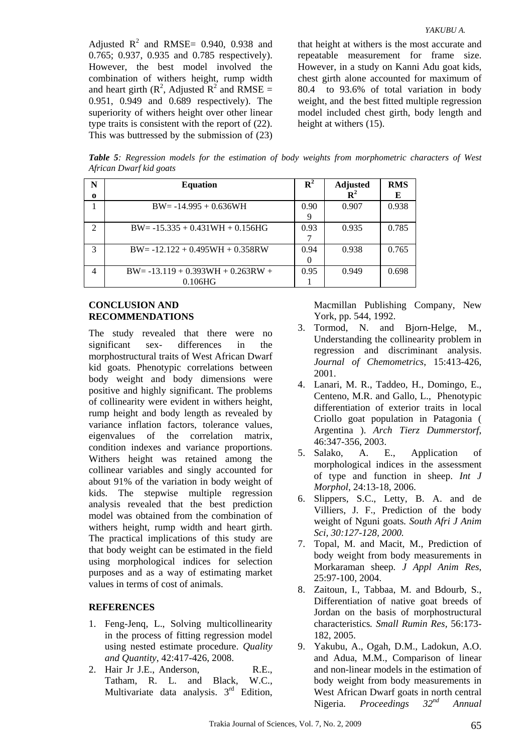Adjusted  $R^2$  and RMSE= 0.940, 0.938 and 0.765; 0.937, 0.935 and 0.785 respectively). However, the best model involved the combination of withers height, rump width and heart girth  $(R^2,$  Adjusted  $R^2$  and RMSE = 0.951, 0.949 and 0.689 respectively). The superiority of withers height over other linear type traits is consistent with the report of (22). This was buttressed by the submission of (23) that height at withers is the most accurate and repeatable measurement for frame size. However, in a study on Kanni Adu goat kids, chest girth alone accounted for maximum of 80.4 to 93.6% of total variation in body weight, and the best fitted multiple regression model included chest girth, body length and height at withers (15).

*Table 5: Regression models for the estimation of body weights from morphometric characters of West African Dwarf kid goats* 

| N              | <b>Equation</b>                      | $\mathbf{R}^2$ | <b>Adjusted</b> | <b>RMS</b> |
|----------------|--------------------------------------|----------------|-----------------|------------|
| $\bf{o}$       |                                      |                | $\mathbf{R}^2$  |            |
|                | $BW = -14.995 + 0.636WH$             | 0.90           | 0.907           | 0.938      |
|                |                                      | 9              |                 |            |
| $\mathfrak{D}$ | $BW = -15.335 + 0.431WH + 0.156HG$   | 0.93           | 0.935           | 0.785      |
|                |                                      |                |                 |            |
| 3              | $BW = -12.122 + 0.495WH + 0.358RW$   | 0.94           | 0.938           | 0.765      |
|                |                                      |                |                 |            |
| 4              | $BW = -13.119 + 0.393WH + 0.263RW +$ | 0.95           | 0.949           | 0.698      |
|                | 0.106HG                              |                |                 |            |

### **CONCLUSION AND RECOMMENDATIONS**

The study revealed that there were no significant sex- differences in the morphostructural traits of West African Dwarf kid goats. Phenotypic correlations between body weight and body dimensions were positive and highly significant. The problems of collinearity were evident in withers height, rump height and body length as revealed by variance inflation factors, tolerance values, eigenvalues of the correlation matrix, condition indexes and variance proportions. Withers height was retained among the collinear variables and singly accounted for about 91% of the variation in body weight of kids. The stepwise multiple regression analysis revealed that the best prediction model was obtained from the combination of withers height, rump width and heart girth. The practical implications of this study are that body weight can be estimated in the field using morphological indices for selection purposes and as a way of estimating market values in terms of cost of animals.

## **REFERENCES**

- 1. Feng-Jenq, L., Solving multicollinearity in the process of fitting regression model using nested estimate procedure. *Quality and Quantity*, 42:417-426, 2008.
- 2. Hair Jr J.E., Anderson, R.E., Tatham, R. L. and Black, W.C., Multivariate data analysis.  $3<sup>rd</sup>$  Edition,

Macmillan Publishing Company, New York, pp. 544, 1992.

- 3. Tormod, N. and Bjorn-Helge, M., Understanding the collinearity problem in regression and discriminant analysis. *Journal of Chemometrics*, 15:413-426, 2001.
- 4. Lanari, M. R., Taddeo, H., Domingo, E., Centeno, M.R. and Gallo, L., Phenotypic differentiation of exterior traits in local Criollo goat population in Patagonia ( Argentina ). *Arch Tierz Dummerstorf*, 46:347-356, 2003.
- 5. Salako, A. E., Application of morphological indices in the assessment of type and function in sheep. *Int J Morphol*, 24:13-18, 2006.
- 6. Slippers, S.C., Letty, B. A. and de Villiers, J. F., Prediction of the body weight of Nguni goats*. South Afri J Anim Sci, 30:127-128, 2000.*
- 7. Topal, M. and Macit, M., Prediction of body weight from body measurements in Morkaraman sheep*. J Appl Anim Res*, 25:97-100, 2004.
- 8. Zaitoun, I., Tabbaa, M. and Bdourb, S., Differentiation of native goat breeds of Jordan on the basis of morphostructural characteristics*. Small Rumin Res,* 56:173- 182, 2005.
- 9. Yakubu, A., Ogah, D.M., Ladokun, A.O. and Adua, M.M., Comparison of linear and non-linear models in the estimation of body weight from body measurements in West African Dwarf goats in north central Nigeria. *Proceedings 32nd Annual*